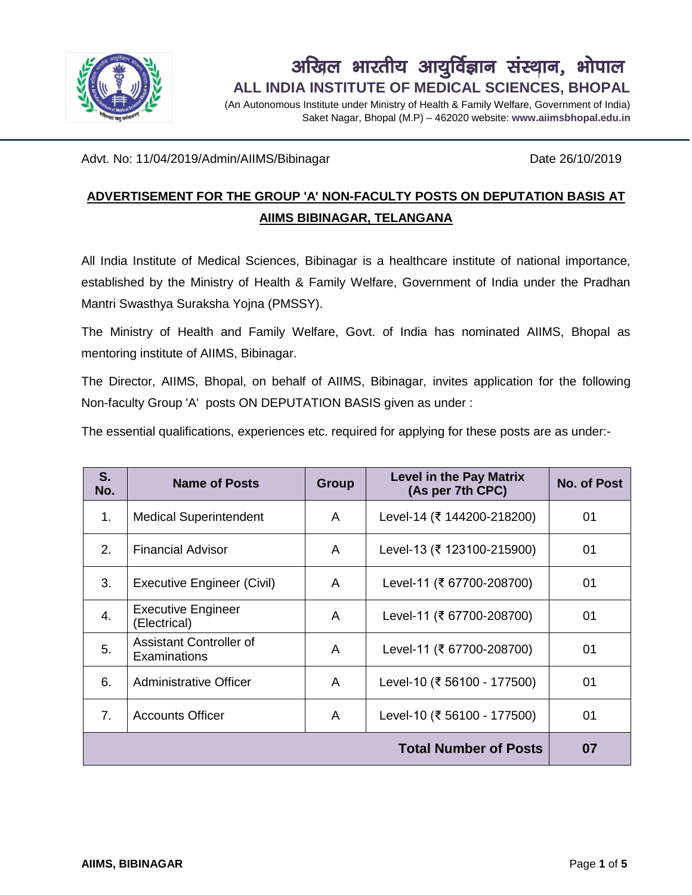

# **ALL INDIA INSTITUTE OF MEDICAL SCIENCES, BHOPAL** अखिल भारतीय आयुर्विज्ञान संस्थान, भोपाल

(An Autonomous Institute under Ministry of Health & Family Welfare, Government of India) Saket Nagar, Bhopal (M.P) – 462020 website: **www.aiimsbhopal.edu.in**

Advt. No: 11/04/2019/Admin/AIIMS/Bibinagar Date 26/10/2019

### **ADVERTISEMENT FOR THE GROUP 'A' NON-FACULTY POSTS ON DEPUTATION BASIS AT AIIMS BIBINAGAR, TELANGANA**

All India Institute of Medical Sciences, Bibinagar is a healthcare institute of national importance, established by the Ministry of Health & Family Welfare, Government of India under the Pradhan Mantri Swasthya Suraksha Yojna (PMSSY).

The Ministry of Health and Family Welfare, Govt. of India has nominated AIIMS, Bhopal as mentoring institute of AIIMS, Bibinagar.

The Director, AIIMS, Bhopal, on behalf of AIIMS, Bibinagar, invites application for the following Non-faculty Group 'A' posts ON DEPUTATION BASIS given as under :

The essential qualifications, experiences etc. required for applying for these posts are as under:-

| S.<br>No.                    | <b>Name of Posts</b>                      | Group | <b>Level in the Pay Matrix</b><br>(As per 7th CPC) | <b>No. of Post</b> |  |
|------------------------------|-------------------------------------------|-------|----------------------------------------------------|--------------------|--|
| 1.                           | <b>Medical Superintendent</b>             | A     | Level-14 (₹ 144200-218200)                         | 01                 |  |
| 2.                           | <b>Financial Advisor</b>                  | A     | Level-13 (₹ 123100-215900)                         | 01                 |  |
| 3.                           | Executive Engineer (Civil)                | A     | Level-11 (₹ 67700-208700)                          | 01                 |  |
| 4.                           | <b>Executive Engineer</b><br>(Electrical) | A     | Level-11 (₹ 67700-208700)                          | 01                 |  |
| 5.                           | Assistant Controller of<br>Examinations   | A     | Level-11 (₹ 67700-208700)                          | 01                 |  |
| 6.                           | <b>Administrative Officer</b>             | A     | Level-10 (₹ 56100 - 177500)                        | 01                 |  |
| $7_{\cdot}$                  | <b>Accounts Officer</b>                   | A     | Level-10 (₹ 56100 - 177500)                        | 01                 |  |
| <b>Total Number of Posts</b> |                                           |       |                                                    |                    |  |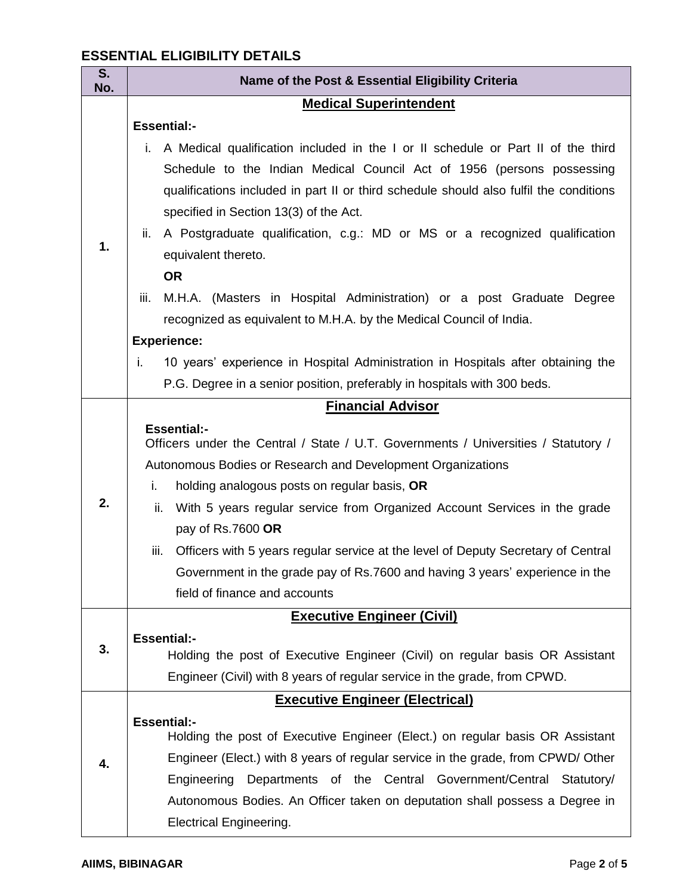### **ESSENTIAL ELIGIBILITY DETAILS**

| S.<br>No. | Name of the Post & Essential Eligibility Criteria                                                   |  |  |  |
|-----------|-----------------------------------------------------------------------------------------------------|--|--|--|
|           | <b>Medical Superintendent</b>                                                                       |  |  |  |
| 1.        | <b>Essential:-</b>                                                                                  |  |  |  |
|           | A Medical qualification included in the I or II schedule or Part II of the third<br>i.              |  |  |  |
|           | Schedule to the Indian Medical Council Act of 1956 (persons possessing                              |  |  |  |
|           | qualifications included in part II or third schedule should also fulfil the conditions              |  |  |  |
|           | specified in Section 13(3) of the Act.                                                              |  |  |  |
|           | A Postgraduate qualification, c.g.: MD or MS or a recognized qualification<br>ii.                   |  |  |  |
|           | equivalent thereto.                                                                                 |  |  |  |
|           | <b>OR</b>                                                                                           |  |  |  |
|           | iii.<br>M.H.A. (Masters in Hospital Administration) or a post Graduate Degree                       |  |  |  |
|           | recognized as equivalent to M.H.A. by the Medical Council of India.                                 |  |  |  |
|           | <b>Experience:</b>                                                                                  |  |  |  |
|           | 10 years' experience in Hospital Administration in Hospitals after obtaining the<br>i.              |  |  |  |
|           | P.G. Degree in a senior position, preferably in hospitals with 300 beds.                            |  |  |  |
|           | <b>Financial Advisor</b>                                                                            |  |  |  |
|           | <b>Essential:-</b>                                                                                  |  |  |  |
|           | Officers under the Central / State / U.T. Governments / Universities / Statutory /                  |  |  |  |
|           | Autonomous Bodies or Research and Development Organizations                                         |  |  |  |
|           | i.<br>holding analogous posts on regular basis, OR                                                  |  |  |  |
| 2.        | ii.<br>With 5 years regular service from Organized Account Services in the grade                    |  |  |  |
|           | pay of Rs.7600 OR                                                                                   |  |  |  |
|           | Officers with 5 years regular service at the level of Deputy Secretary of Central<br>iii.           |  |  |  |
|           | Government in the grade pay of Rs.7600 and having 3 years' experience in the                        |  |  |  |
|           | field of finance and accounts                                                                       |  |  |  |
|           | <b>Executive Engineer (Civil)</b>                                                                   |  |  |  |
| 3.        | <b>Essential:-</b>                                                                                  |  |  |  |
|           | Holding the post of Executive Engineer (Civil) on regular basis OR Assistant                        |  |  |  |
|           | Engineer (Civil) with 8 years of regular service in the grade, from CPWD.                           |  |  |  |
|           | <b>Executive Engineer (Electrical)</b>                                                              |  |  |  |
| 4.        | <b>Essential:-</b><br>Holding the post of Executive Engineer (Elect.) on regular basis OR Assistant |  |  |  |
|           | Engineer (Elect.) with 8 years of regular service in the grade, from CPWD/ Other                    |  |  |  |
|           | Engineering<br>Departments of the Central Government/Central Statutory/                             |  |  |  |
|           | Autonomous Bodies. An Officer taken on deputation shall possess a Degree in                         |  |  |  |
|           | <b>Electrical Engineering.</b>                                                                      |  |  |  |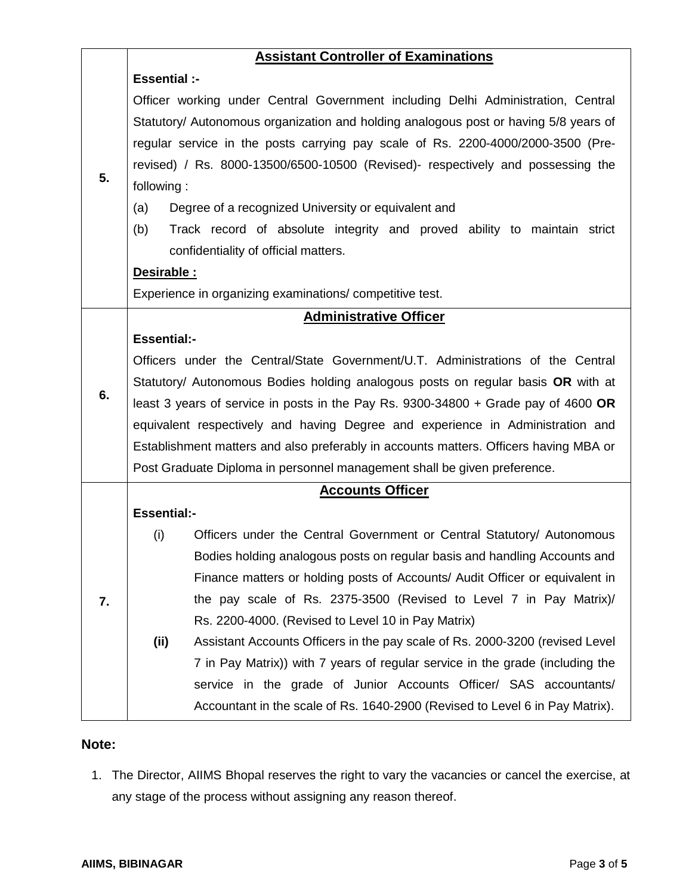|    | <b>Assistant Controller of Examinations</b>                                           |                                                                               |  |  |  |
|----|---------------------------------------------------------------------------------------|-------------------------------------------------------------------------------|--|--|--|
| 5. | <b>Essential :-</b>                                                                   |                                                                               |  |  |  |
|    | Officer working under Central Government including Delhi Administration, Central      |                                                                               |  |  |  |
|    | Statutory/ Autonomous organization and holding analogous post or having 5/8 years of  |                                                                               |  |  |  |
|    | regular service in the posts carrying pay scale of Rs. 2200-4000/2000-3500 (Pre-      |                                                                               |  |  |  |
|    | revised) / Rs. 8000-13500/6500-10500 (Revised)- respectively and possessing the       |                                                                               |  |  |  |
|    | following:                                                                            |                                                                               |  |  |  |
|    | (a)                                                                                   | Degree of a recognized University or equivalent and                           |  |  |  |
|    | (b)                                                                                   | Track record of absolute integrity and proved ability to maintain strict      |  |  |  |
|    |                                                                                       | confidentiality of official matters.                                          |  |  |  |
|    | Desirable:                                                                            |                                                                               |  |  |  |
|    | Experience in organizing examinations/ competitive test.                              |                                                                               |  |  |  |
|    | <b>Administrative Officer</b>                                                         |                                                                               |  |  |  |
| 6. | <b>Essential:-</b>                                                                    |                                                                               |  |  |  |
|    | Officers under the Central/State Government/U.T. Administrations of the Central       |                                                                               |  |  |  |
|    | Statutory/ Autonomous Bodies holding analogous posts on regular basis OR with at      |                                                                               |  |  |  |
|    | least 3 years of service in posts in the Pay Rs. 9300-34800 + Grade pay of 4600 OR    |                                                                               |  |  |  |
|    | equivalent respectively and having Degree and experience in Administration and        |                                                                               |  |  |  |
|    | Establishment matters and also preferably in accounts matters. Officers having MBA or |                                                                               |  |  |  |
|    | Post Graduate Diploma in personnel management shall be given preference.              |                                                                               |  |  |  |
|    | <b>Accounts Officer</b>                                                               |                                                                               |  |  |  |
|    | <b>Essential:-</b>                                                                    |                                                                               |  |  |  |
| 7. | (i)                                                                                   | Officers under the Central Government or Central Statutory/ Autonomous        |  |  |  |
|    |                                                                                       | Bodies holding analogous posts on regular basis and handling Accounts and     |  |  |  |
|    |                                                                                       | Finance matters or holding posts of Accounts/ Audit Officer or equivalent in  |  |  |  |
|    |                                                                                       | the pay scale of Rs. 2375-3500 (Revised to Level 7 in Pay Matrix)/            |  |  |  |
|    |                                                                                       | Rs. 2200-4000. (Revised to Level 10 in Pay Matrix)                            |  |  |  |
|    | (ii)                                                                                  | Assistant Accounts Officers in the pay scale of Rs. 2000-3200 (revised Level  |  |  |  |
|    |                                                                                       | 7 in Pay Matrix)) with 7 years of regular service in the grade (including the |  |  |  |
|    |                                                                                       | service in the grade of Junior Accounts Officer/ SAS accountants/             |  |  |  |
|    |                                                                                       | Accountant in the scale of Rs. 1640-2900 (Revised to Level 6 in Pay Matrix).  |  |  |  |

#### **Note:**

1. The Director, AIIMS Bhopal reserves the right to vary the vacancies or cancel the exercise, at any stage of the process without assigning any reason thereof.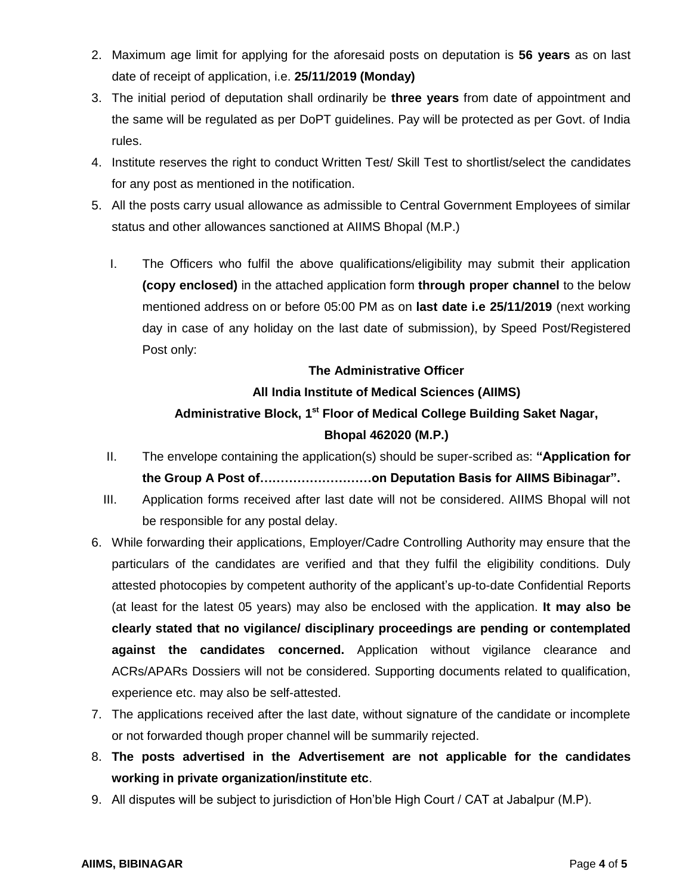- 2. Maximum age limit for applying for the aforesaid posts on deputation is **56 years** as on last date of receipt of application, i.e. **25/11/2019 (Monday)**
- 3. The initial period of deputation shall ordinarily be **three years** from date of appointment and the same will be regulated as per DoPT guidelines. Pay will be protected as per Govt. of India rules.
- 4. Institute reserves the right to conduct Written Test/ Skill Test to shortlist/select the candidates for any post as mentioned in the notification.
- 5. All the posts carry usual allowance as admissible to Central Government Employees of similar status and other allowances sanctioned at AIIMS Bhopal (M.P.)
	- I. The Officers who fulfil the above qualifications/eligibility may submit their application **(copy enclosed)** in the attached application form **through proper channel** to the below mentioned address on or before 05:00 PM as on **last date i.e 25/11/2019** (next working day in case of any holiday on the last date of submission), by Speed Post/Registered Post only:

#### **The Administrative Officer**

## **All India Institute of Medical Sciences (AIIMS) Administrative Block, 1st Floor of Medical College Building Saket Nagar, Bhopal 462020 (M.P.)**

- II. The envelope containing the application(s) should be super-scribed as: **"Application for the Group A Post of………………………on Deputation Basis for AIIMS Bibinagar".**
- III. Application forms received after last date will not be considered. AIIMS Bhopal will not be responsible for any postal delay.
- 6. While forwarding their applications, Employer/Cadre Controlling Authority may ensure that the particulars of the candidates are verified and that they fulfil the eligibility conditions. Duly attested photocopies by competent authority of the applicant's up-to-date Confidential Reports (at least for the latest 05 years) may also be enclosed with the application. **It may also be clearly stated that no vigilance/ disciplinary proceedings are pending or contemplated against the candidates concerned.** Application without vigilance clearance and ACRs/APARs Dossiers will not be considered. Supporting documents related to qualification, experience etc. may also be self-attested.
- 7. The applications received after the last date, without signature of the candidate or incomplete or not forwarded though proper channel will be summarily rejected.
- 8. **The posts advertised in the Advertisement are not applicable for the candidates working in private organization/institute etc**.
- 9. All disputes will be subject to jurisdiction of Hon'ble High Court / CAT at Jabalpur (M.P).